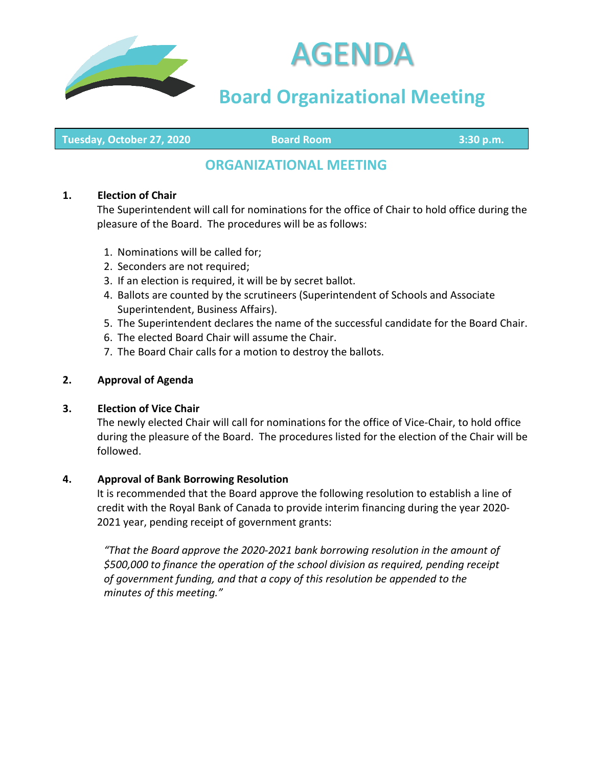



# **Board Organizational Meeting**

**Tuesday, October 27, 2020 Board Room 3:30 p.m.**

# **ORGANIZATIONAL MEETING**

#### **1. Election of Chair**

The Superintendent will call for nominations for the office of Chair to hold office during the pleasure of the Board. The procedures will be as follows:

- 1. Nominations will be called for;
- 2. Seconders are not required;
- 3. If an election is required, it will be by secret ballot.
- 4. Ballots are counted by the scrutineers (Superintendent of Schools and Associate Superintendent, Business Affairs).
- 5. The Superintendent declares the name of the successful candidate for the Board Chair.
- 6. The elected Board Chair will assume the Chair.
- 7. The Board Chair calls for a motion to destroy the ballots.

#### **2. Approval of Agenda**

#### **3. Election of Vice Chair**

The newly elected Chair will call for nominations for the office of Vice-Chair, to hold office during the pleasure of the Board. The procedures listed for the election of the Chair will be followed.

#### **4. Approval of Bank Borrowing Resolution**

It is recommended that the Board approve the following resolution to establish a line of credit with the Royal Bank of Canada to provide interim financing during the year 2020- 2021 year, pending receipt of government grants:

*"That the Board approve the 2020-2021 bank borrowing resolution in the amount of \$500,000 to finance the operation of the school division as required, pending receipt of government funding, and that a copy of this resolution be appended to the minutes of this meeting."*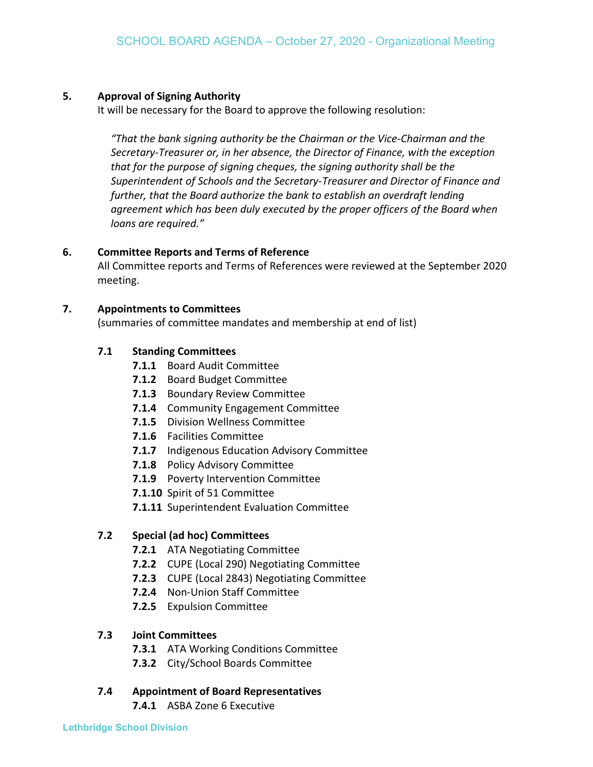#### **5. Approval of Signing Authority**

It will be necessary for the Board to approve the following resolution:

*"That the bank signing authority be the Chairman or the Vice-Chairman and the Secretary-Treasurer or, in her absence, the Director of Finance, with the exception that for the purpose of signing cheques, the signing authority shall be the Superintendent of Schools and the Secretary-Treasurer and Director of Finance and further, that the Board authorize the bank to establish an overdraft lending agreement which has been duly executed by the proper officers of the Board when loans are required."*

## **6. Committee Reports and Terms of Reference**

All Committee reports and Terms of References were reviewed at the September 2020 meeting.

## **7. Appointments to Committees**

(summaries of committee mandates and membership at end of list)

## **7.1 Standing Committees**

- **7.1.1** Board Audit Committee
- **7.1.2** Board Budget Committee
- **7.1.3** Boundary Review Committee
- **7.1.4** Community Engagement Committee
- **7.1.5** Division Wellness Committee
- **7.1.6** Facilities Committee
- **7.1.7** Indigenous Education Advisory Committee
- **7.1.8** Policy Advisory Committee
- **7.1.9** Poverty Intervention Committee
- **7.1.10** Spirit of 51 Committee
- **7.1.11** Superintendent Evaluation Committee

# **7.2 Special (ad hoc) Committees**

- **7.2.1** ATA Negotiating Committee
- **7.2.2** CUPE (Local 290) Negotiating Committee
- **7.2.3** CUPE (Local 2843) Negotiating Committee
- **7.2.4** Non-Union Staff Committee
- **7.2.5** Expulsion Committee

# **7.3 Joint Committees**

- **7.3.1** ATA Working Conditions Committee
- **7.3.2** City/School Boards Committee

# **7.4 Appointment of Board Representatives**

**7.4.1** ASBA Zone 6 Executive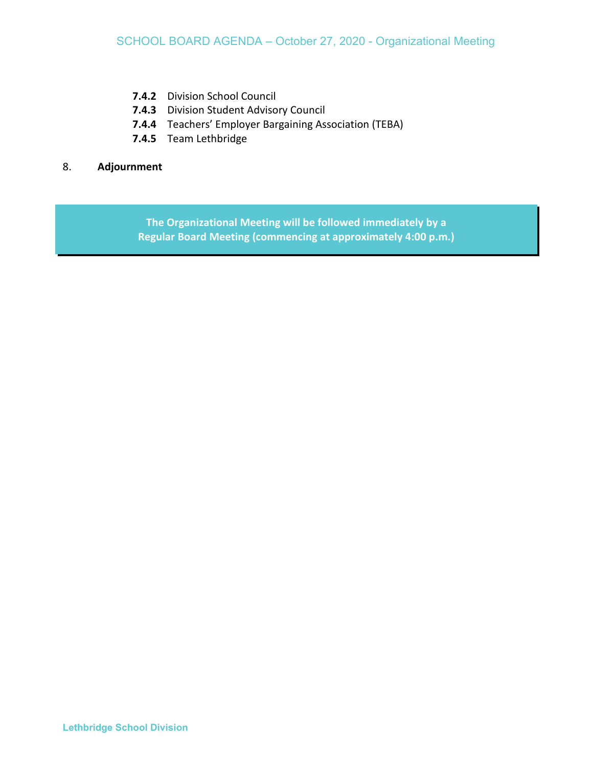- **7.4.2** Division School Council
- **7.4.3** Division Student Advisory Council
- **7.4.4** Teachers' Employer Bargaining Association (TEBA)
- **7.4.5** Team Lethbridge

#### 8. **Adjournment**

**The Organizational Meeting will be followed immediately by a Regular Board Meeting (commencing at approximately 4:00 p.m.)**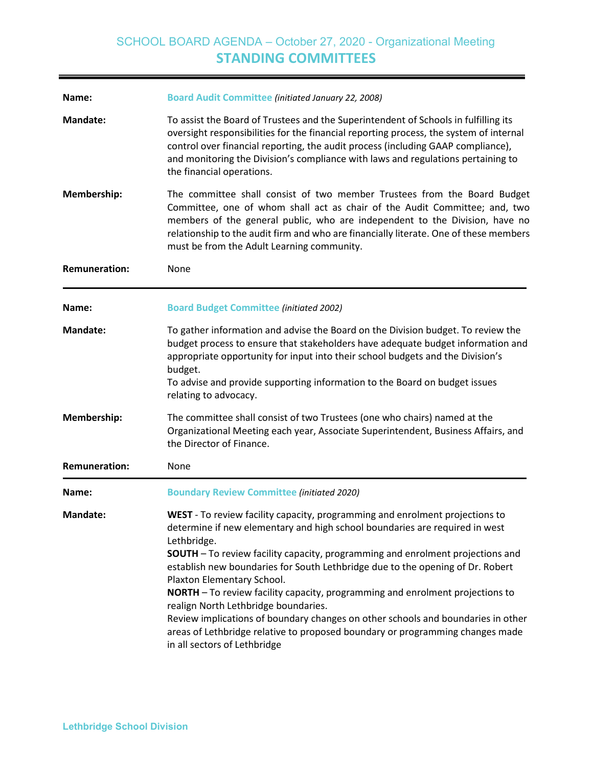# SCHOOL BOARD AGENDA – October 27, 2020 - Organizational Meeting **STANDING COMMITTEES**

| Name:                | <b>Board Audit Committee (initiated January 22, 2008)</b>                                                                                                                                                                                                                                                                                                                                                                                                                                                                                                                                                                                                                                                         |
|----------------------|-------------------------------------------------------------------------------------------------------------------------------------------------------------------------------------------------------------------------------------------------------------------------------------------------------------------------------------------------------------------------------------------------------------------------------------------------------------------------------------------------------------------------------------------------------------------------------------------------------------------------------------------------------------------------------------------------------------------|
| <b>Mandate:</b>      | To assist the Board of Trustees and the Superintendent of Schools in fulfilling its<br>oversight responsibilities for the financial reporting process, the system of internal<br>control over financial reporting, the audit process (including GAAP compliance),<br>and monitoring the Division's compliance with laws and regulations pertaining to<br>the financial operations.                                                                                                                                                                                                                                                                                                                                |
| Membership:          | The committee shall consist of two member Trustees from the Board Budget<br>Committee, one of whom shall act as chair of the Audit Committee; and, two<br>members of the general public, who are independent to the Division, have no<br>relationship to the audit firm and who are financially literate. One of these members<br>must be from the Adult Learning community.                                                                                                                                                                                                                                                                                                                                      |
| <b>Remuneration:</b> | None                                                                                                                                                                                                                                                                                                                                                                                                                                                                                                                                                                                                                                                                                                              |
| Name:                | <b>Board Budget Committee (initiated 2002)</b>                                                                                                                                                                                                                                                                                                                                                                                                                                                                                                                                                                                                                                                                    |
| <b>Mandate:</b>      | To gather information and advise the Board on the Division budget. To review the<br>budget process to ensure that stakeholders have adequate budget information and<br>appropriate opportunity for input into their school budgets and the Division's<br>budget.<br>To advise and provide supporting information to the Board on budget issues<br>relating to advocacy.                                                                                                                                                                                                                                                                                                                                           |
| Membership:          | The committee shall consist of two Trustees (one who chairs) named at the<br>Organizational Meeting each year, Associate Superintendent, Business Affairs, and<br>the Director of Finance.                                                                                                                                                                                                                                                                                                                                                                                                                                                                                                                        |
| <b>Remuneration:</b> | None                                                                                                                                                                                                                                                                                                                                                                                                                                                                                                                                                                                                                                                                                                              |
| Name:                | <b>Boundary Review Committee (initiated 2020)</b>                                                                                                                                                                                                                                                                                                                                                                                                                                                                                                                                                                                                                                                                 |
| <b>Mandate:</b>      | WEST - To review facility capacity, programming and enrolment projections to<br>determine if new elementary and high school boundaries are required in west<br>Lethbridge.<br><b>SOUTH</b> - To review facility capacity, programming and enrolment projections and<br>establish new boundaries for South Lethbridge due to the opening of Dr. Robert<br>Plaxton Elementary School.<br>NORTH - To review facility capacity, programming and enrolment projections to<br>realign North Lethbridge boundaries.<br>Review implications of boundary changes on other schools and boundaries in other<br>areas of Lethbridge relative to proposed boundary or programming changes made<br>in all sectors of Lethbridge |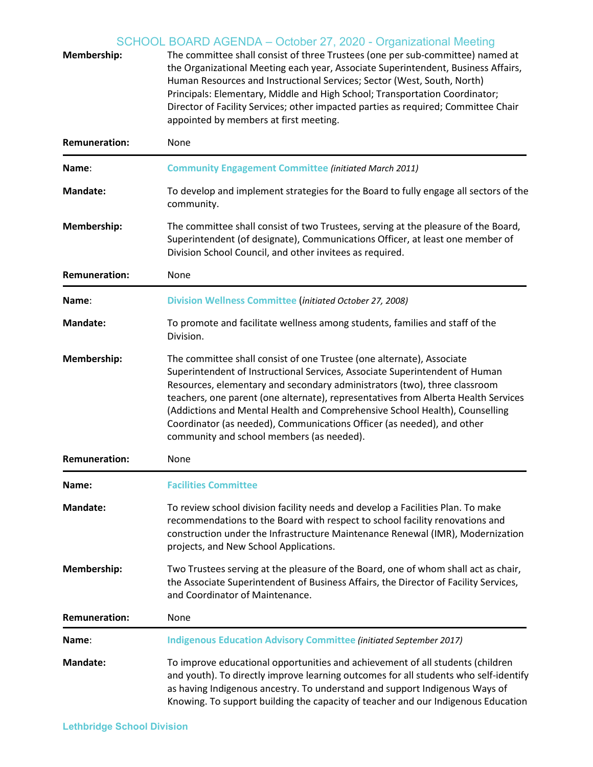| Membership:          | SCHOOL BOARD AGENDA – October 27, 2020 - Organizational Meeting<br>The committee shall consist of three Trustees (one per sub-committee) named at<br>the Organizational Meeting each year, Associate Superintendent, Business Affairs,<br>Human Resources and Instructional Services; Sector (West, South, North)<br>Principals: Elementary, Middle and High School; Transportation Coordinator;<br>Director of Facility Services; other impacted parties as required; Committee Chair<br>appointed by members at first meeting. |
|----------------------|----------------------------------------------------------------------------------------------------------------------------------------------------------------------------------------------------------------------------------------------------------------------------------------------------------------------------------------------------------------------------------------------------------------------------------------------------------------------------------------------------------------------------------|
| <b>Remuneration:</b> | None                                                                                                                                                                                                                                                                                                                                                                                                                                                                                                                             |
| Name:                | <b>Community Engagement Committee (initiated March 2011)</b>                                                                                                                                                                                                                                                                                                                                                                                                                                                                     |
| <b>Mandate:</b>      | To develop and implement strategies for the Board to fully engage all sectors of the<br>community.                                                                                                                                                                                                                                                                                                                                                                                                                               |
| Membership:          | The committee shall consist of two Trustees, serving at the pleasure of the Board,<br>Superintendent (of designate), Communications Officer, at least one member of<br>Division School Council, and other invitees as required.                                                                                                                                                                                                                                                                                                  |
| <b>Remuneration:</b> | None                                                                                                                                                                                                                                                                                                                                                                                                                                                                                                                             |
| Name:                | <b>Division Wellness Committee (initiated October 27, 2008)</b>                                                                                                                                                                                                                                                                                                                                                                                                                                                                  |
| <b>Mandate:</b>      | To promote and facilitate wellness among students, families and staff of the<br>Division.                                                                                                                                                                                                                                                                                                                                                                                                                                        |
| Membership:          | The committee shall consist of one Trustee (one alternate), Associate<br>Superintendent of Instructional Services, Associate Superintendent of Human<br>Resources, elementary and secondary administrators (two), three classroom<br>teachers, one parent (one alternate), representatives from Alberta Health Services<br>(Addictions and Mental Health and Comprehensive School Health), Counselling<br>Coordinator (as needed), Communications Officer (as needed), and other<br>community and school members (as needed).    |
| <b>Remuneration:</b> | None                                                                                                                                                                                                                                                                                                                                                                                                                                                                                                                             |
| Name:                | <b>Facilities Committee</b>                                                                                                                                                                                                                                                                                                                                                                                                                                                                                                      |
| <b>Mandate:</b>      | To review school division facility needs and develop a Facilities Plan. To make<br>recommendations to the Board with respect to school facility renovations and<br>construction under the Infrastructure Maintenance Renewal (IMR), Modernization<br>projects, and New School Applications.                                                                                                                                                                                                                                      |
| Membership:          | Two Trustees serving at the pleasure of the Board, one of whom shall act as chair,<br>the Associate Superintendent of Business Affairs, the Director of Facility Services,<br>and Coordinator of Maintenance.                                                                                                                                                                                                                                                                                                                    |
| <b>Remuneration:</b> | None                                                                                                                                                                                                                                                                                                                                                                                                                                                                                                                             |
| Name:                | <b>Indigenous Education Advisory Committee (initiated September 2017)</b>                                                                                                                                                                                                                                                                                                                                                                                                                                                        |
| <b>Mandate:</b>      | To improve educational opportunities and achievement of all students (children<br>and youth). To directly improve learning outcomes for all students who self-identify<br>as having Indigenous ancestry. To understand and support Indigenous Ways of<br>Knowing. To support building the capacity of teacher and our Indigenous Education                                                                                                                                                                                       |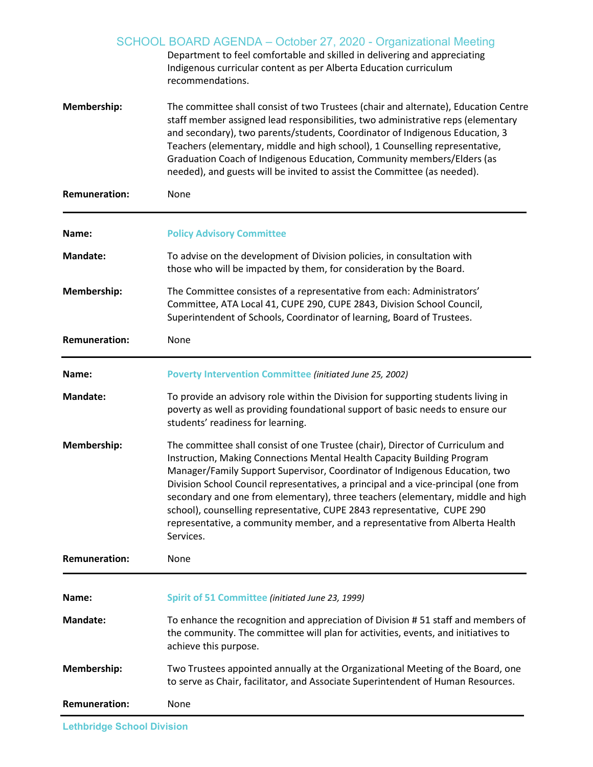|                      | SCHOOL BOARD AGENDA - October 27, 2020 - Organizational Meeting<br>Department to feel comfortable and skilled in delivering and appreciating<br>Indigenous curricular content as per Alberta Education curriculum<br>recommendations.                                                                                                                                                                                                                                                                                                                                                      |
|----------------------|--------------------------------------------------------------------------------------------------------------------------------------------------------------------------------------------------------------------------------------------------------------------------------------------------------------------------------------------------------------------------------------------------------------------------------------------------------------------------------------------------------------------------------------------------------------------------------------------|
| Membership:          | The committee shall consist of two Trustees (chair and alternate), Education Centre<br>staff member assigned lead responsibilities, two administrative reps (elementary<br>and secondary), two parents/students, Coordinator of Indigenous Education, 3<br>Teachers (elementary, middle and high school), 1 Counselling representative,<br>Graduation Coach of Indigenous Education, Community members/Elders (as<br>needed), and guests will be invited to assist the Committee (as needed).                                                                                              |
| <b>Remuneration:</b> | None                                                                                                                                                                                                                                                                                                                                                                                                                                                                                                                                                                                       |
| Name:                | <b>Policy Advisory Committee</b>                                                                                                                                                                                                                                                                                                                                                                                                                                                                                                                                                           |
| <b>Mandate:</b>      | To advise on the development of Division policies, in consultation with<br>those who will be impacted by them, for consideration by the Board.                                                                                                                                                                                                                                                                                                                                                                                                                                             |
| Membership:          | The Committee consistes of a representative from each: Administrators'<br>Committee, ATA Local 41, CUPE 290, CUPE 2843, Division School Council,<br>Superintendent of Schools, Coordinator of learning, Board of Trustees.                                                                                                                                                                                                                                                                                                                                                                 |
| <b>Remuneration:</b> | None                                                                                                                                                                                                                                                                                                                                                                                                                                                                                                                                                                                       |
| Name:                | <b>Poverty Intervention Committee (initiated June 25, 2002)</b>                                                                                                                                                                                                                                                                                                                                                                                                                                                                                                                            |
| <b>Mandate:</b>      | To provide an advisory role within the Division for supporting students living in<br>poverty as well as providing foundational support of basic needs to ensure our<br>students' readiness for learning.                                                                                                                                                                                                                                                                                                                                                                                   |
| Membership:          | The committee shall consist of one Trustee (chair), Director of Curriculum and<br>Instruction, Making Connections Mental Health Capacity Building Program<br>Manager/Family Support Supervisor, Coordinator of Indigenous Education, two<br>Division School Council representatives, a principal and a vice-principal (one from<br>secondary and one from elementary), three teachers (elementary, middle and high<br>school), counselling representative, CUPE 2843 representative, CUPE 290<br>representative, a community member, and a representative from Alberta Health<br>Services. |
| <b>Remuneration:</b> | None                                                                                                                                                                                                                                                                                                                                                                                                                                                                                                                                                                                       |
| Name:                | Spirit of 51 Committee (initiated June 23, 1999)                                                                                                                                                                                                                                                                                                                                                                                                                                                                                                                                           |
| <b>Mandate:</b>      | To enhance the recognition and appreciation of Division #51 staff and members of<br>the community. The committee will plan for activities, events, and initiatives to<br>achieve this purpose.                                                                                                                                                                                                                                                                                                                                                                                             |
| Membership:          | Two Trustees appointed annually at the Organizational Meeting of the Board, one<br>to serve as Chair, facilitator, and Associate Superintendent of Human Resources.                                                                                                                                                                                                                                                                                                                                                                                                                        |
| <b>Remuneration:</b> | None                                                                                                                                                                                                                                                                                                                                                                                                                                                                                                                                                                                       |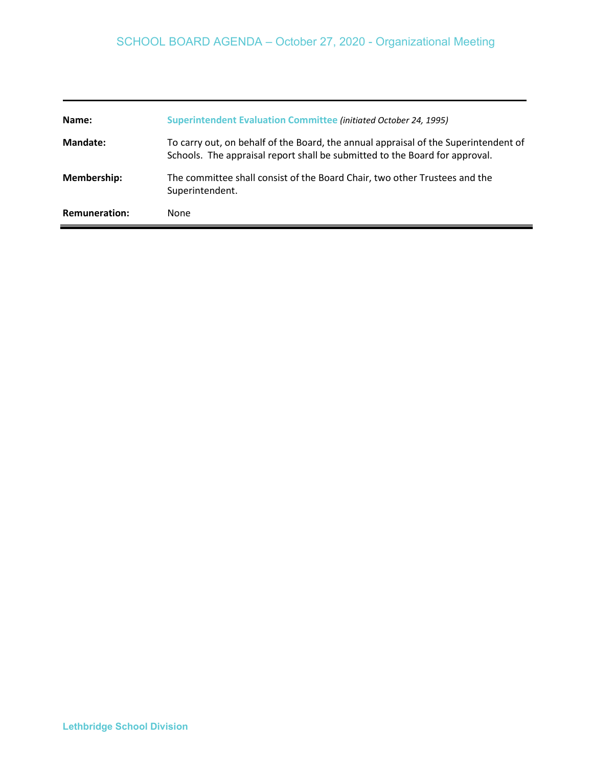| Name:                | <b>Superintendent Evaluation Committee (initiated October 24, 1995)</b>                                                                                            |
|----------------------|--------------------------------------------------------------------------------------------------------------------------------------------------------------------|
| Mandate:             | To carry out, on behalf of the Board, the annual appraisal of the Superintendent of<br>Schools. The appraisal report shall be submitted to the Board for approval. |
| <b>Membership:</b>   | The committee shall consist of the Board Chair, two other Trustees and the<br>Superintendent.                                                                      |
| <b>Remuneration:</b> | None                                                                                                                                                               |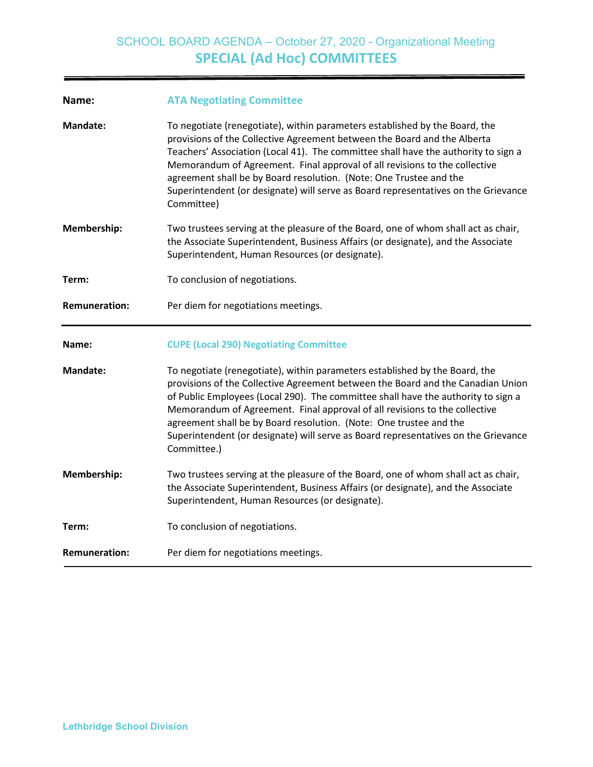| Name:                | <b>ATA Negotiating Committee</b>                                                                                                                                                                                                                                                                                                                                                                                                                                                                             |
|----------------------|--------------------------------------------------------------------------------------------------------------------------------------------------------------------------------------------------------------------------------------------------------------------------------------------------------------------------------------------------------------------------------------------------------------------------------------------------------------------------------------------------------------|
| <b>Mandate:</b>      | To negotiate (renegotiate), within parameters established by the Board, the<br>provisions of the Collective Agreement between the Board and the Alberta<br>Teachers' Association (Local 41). The committee shall have the authority to sign a<br>Memorandum of Agreement. Final approval of all revisions to the collective<br>agreement shall be by Board resolution. (Note: One Trustee and the<br>Superintendent (or designate) will serve as Board representatives on the Grievance<br>Committee)        |
| Membership:          | Two trustees serving at the pleasure of the Board, one of whom shall act as chair,<br>the Associate Superintendent, Business Affairs (or designate), and the Associate<br>Superintendent, Human Resources (or designate).                                                                                                                                                                                                                                                                                    |
| Term:                | To conclusion of negotiations.                                                                                                                                                                                                                                                                                                                                                                                                                                                                               |
| <b>Remuneration:</b> | Per diem for negotiations meetings.                                                                                                                                                                                                                                                                                                                                                                                                                                                                          |
|                      |                                                                                                                                                                                                                                                                                                                                                                                                                                                                                                              |
| Name:                | <b>CUPE (Local 290) Negotiating Committee</b>                                                                                                                                                                                                                                                                                                                                                                                                                                                                |
| <b>Mandate:</b>      | To negotiate (renegotiate), within parameters established by the Board, the<br>provisions of the Collective Agreement between the Board and the Canadian Union<br>of Public Employees (Local 290). The committee shall have the authority to sign a<br>Memorandum of Agreement. Final approval of all revisions to the collective<br>agreement shall be by Board resolution. (Note: One trustee and the<br>Superintendent (or designate) will serve as Board representatives on the Grievance<br>Committee.) |
| Membership:          | Two trustees serving at the pleasure of the Board, one of whom shall act as chair,<br>the Associate Superintendent, Business Affairs (or designate), and the Associate<br>Superintendent, Human Resources (or designate).                                                                                                                                                                                                                                                                                    |
| Term:                | To conclusion of negotiations.                                                                                                                                                                                                                                                                                                                                                                                                                                                                               |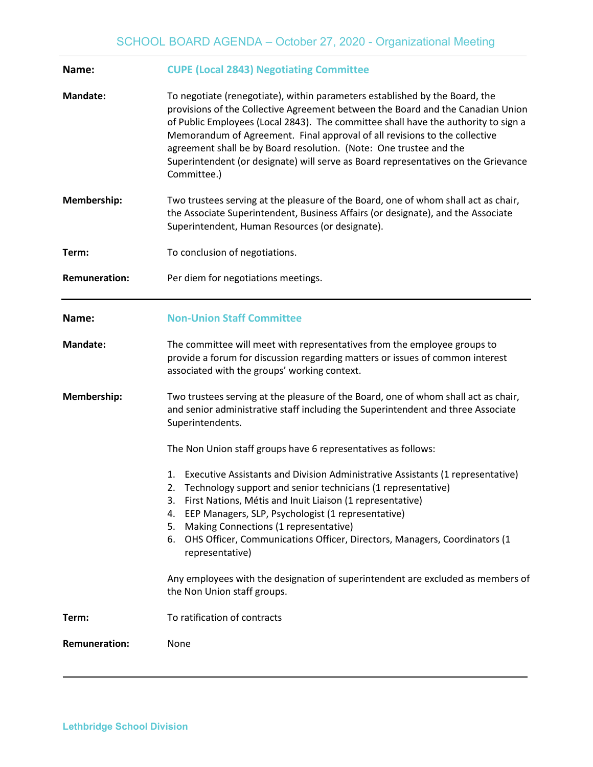| Name:                | <b>CUPE (Local 2843) Negotiating Committee</b>                                                                                                                                                                                                                                                                                                                                                                                                                                                                |
|----------------------|---------------------------------------------------------------------------------------------------------------------------------------------------------------------------------------------------------------------------------------------------------------------------------------------------------------------------------------------------------------------------------------------------------------------------------------------------------------------------------------------------------------|
| <b>Mandate:</b>      | To negotiate (renegotiate), within parameters established by the Board, the<br>provisions of the Collective Agreement between the Board and the Canadian Union<br>of Public Employees (Local 2843). The committee shall have the authority to sign a<br>Memorandum of Agreement. Final approval of all revisions to the collective<br>agreement shall be by Board resolution. (Note: One trustee and the<br>Superintendent (or designate) will serve as Board representatives on the Grievance<br>Committee.) |
| Membership:          | Two trustees serving at the pleasure of the Board, one of whom shall act as chair,<br>the Associate Superintendent, Business Affairs (or designate), and the Associate<br>Superintendent, Human Resources (or designate).                                                                                                                                                                                                                                                                                     |
| Term:                | To conclusion of negotiations.                                                                                                                                                                                                                                                                                                                                                                                                                                                                                |
| <b>Remuneration:</b> | Per diem for negotiations meetings.                                                                                                                                                                                                                                                                                                                                                                                                                                                                           |
| Name:                | <b>Non-Union Staff Committee</b>                                                                                                                                                                                                                                                                                                                                                                                                                                                                              |
| <b>Mandate:</b>      | The committee will meet with representatives from the employee groups to<br>provide a forum for discussion regarding matters or issues of common interest<br>associated with the groups' working context.                                                                                                                                                                                                                                                                                                     |
| <b>Membership:</b>   | Two trustees serving at the pleasure of the Board, one of whom shall act as chair,<br>and senior administrative staff including the Superintendent and three Associate<br>Superintendents.                                                                                                                                                                                                                                                                                                                    |
|                      | The Non Union staff groups have 6 representatives as follows:                                                                                                                                                                                                                                                                                                                                                                                                                                                 |
|                      | Executive Assistants and Division Administrative Assistants (1 representative)<br>1.<br>2. Technology support and senior technicians (1 representative)<br>3. First Nations, Métis and Inuit Liaison (1 representative)<br>EEP Managers, SLP, Psychologist (1 representative)<br>4.<br>Making Connections (1 representative)<br>5.<br>OHS Officer, Communications Officer, Directors, Managers, Coordinators (1<br>6.<br>representative)                                                                      |
|                      | Any employees with the designation of superintendent are excluded as members of<br>the Non Union staff groups.                                                                                                                                                                                                                                                                                                                                                                                                |
| Term:                | To ratification of contracts                                                                                                                                                                                                                                                                                                                                                                                                                                                                                  |
| <b>Remuneration:</b> | None                                                                                                                                                                                                                                                                                                                                                                                                                                                                                                          |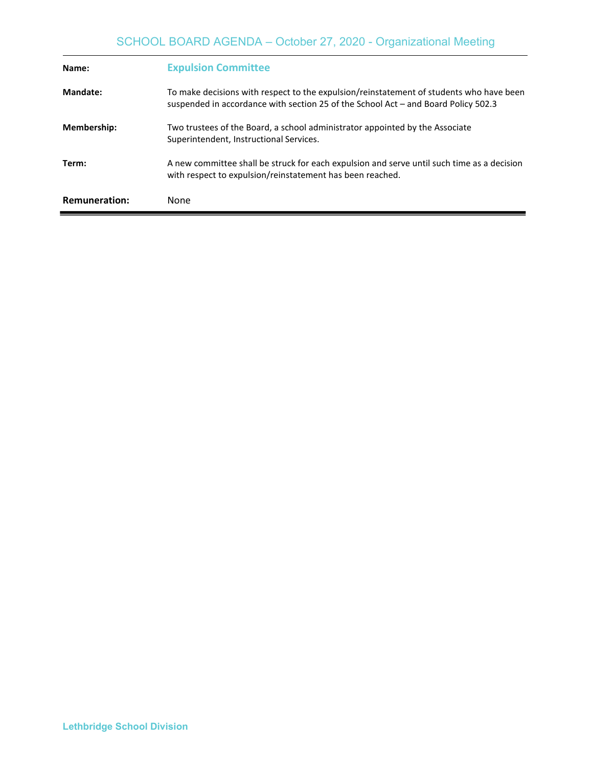| Name:                | <b>Expulsion Committee</b>                                                                                                                                                    |
|----------------------|-------------------------------------------------------------------------------------------------------------------------------------------------------------------------------|
| Mandate:             | To make decisions with respect to the expulsion/reinstatement of students who have been<br>suspended in accordance with section 25 of the School Act – and Board Policy 502.3 |
| Membership:          | Two trustees of the Board, a school administrator appointed by the Associate<br>Superintendent, Instructional Services.                                                       |
| Term:                | A new committee shall be struck for each expulsion and serve until such time as a decision<br>with respect to expulsion/reinstatement has been reached.                       |
| <b>Remuneration:</b> | None                                                                                                                                                                          |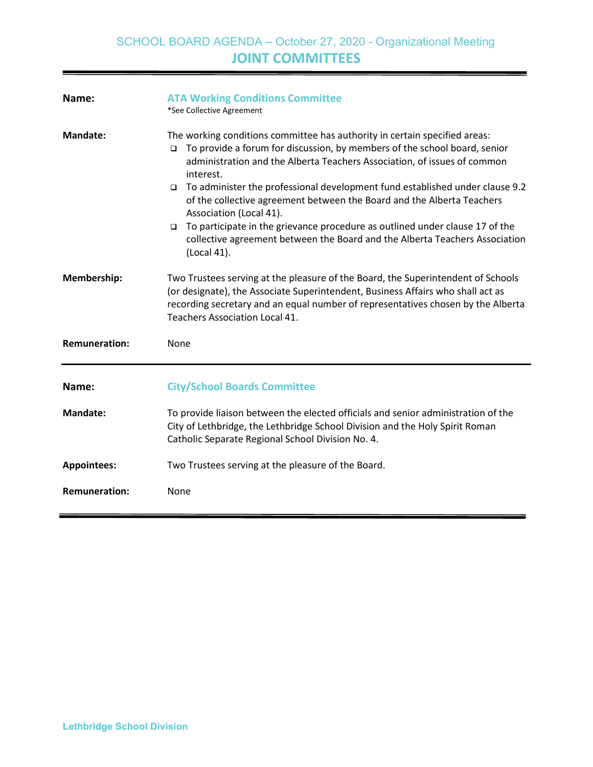| Name:                | <b>ATA Working Conditions Committee</b><br>*See Collective Agreement                                                                                                                                                                                                                                                                                                                                                                                                                                                                                                                                                                           |
|----------------------|------------------------------------------------------------------------------------------------------------------------------------------------------------------------------------------------------------------------------------------------------------------------------------------------------------------------------------------------------------------------------------------------------------------------------------------------------------------------------------------------------------------------------------------------------------------------------------------------------------------------------------------------|
| Mandate:             | The working conditions committee has authority in certain specified areas:<br>$\Box$ To provide a forum for discussion, by members of the school board, senior<br>administration and the Alberta Teachers Association, of issues of common<br>interest.<br>To administer the professional development fund established under clause 9.2<br>$\Box$<br>of the collective agreement between the Board and the Alberta Teachers<br>Association (Local 41).<br>To participate in the grievance procedure as outlined under clause 17 of the<br>$\Box$<br>collective agreement between the Board and the Alberta Teachers Association<br>(Local 41). |
| Membership:          | Two Trustees serving at the pleasure of the Board, the Superintendent of Schools<br>(or designate), the Associate Superintendent, Business Affairs who shall act as<br>recording secretary and an equal number of representatives chosen by the Alberta<br><b>Teachers Association Local 41.</b>                                                                                                                                                                                                                                                                                                                                               |
| <b>Remuneration:</b> | None                                                                                                                                                                                                                                                                                                                                                                                                                                                                                                                                                                                                                                           |
| Name:                | <b>City/School Boards Committee</b>                                                                                                                                                                                                                                                                                                                                                                                                                                                                                                                                                                                                            |
| <b>Mandate:</b>      | To provide liaison between the elected officials and senior administration of the<br>City of Lethbridge, the Lethbridge School Division and the Holy Spirit Roman<br>Catholic Separate Regional School Division No. 4.                                                                                                                                                                                                                                                                                                                                                                                                                         |
| <b>Appointees:</b>   | Two Trustees serving at the pleasure of the Board.                                                                                                                                                                                                                                                                                                                                                                                                                                                                                                                                                                                             |
| <b>Remuneration:</b> | None                                                                                                                                                                                                                                                                                                                                                                                                                                                                                                                                                                                                                                           |